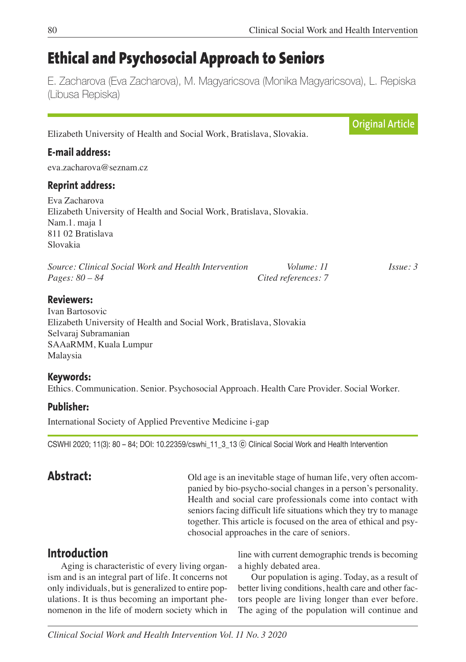# **Ethical and Psychosocial Approach to Seniors**

E. Zacharova (Eva Zacharova), M. Magyaricsova (Monika Magyaricsova), L. Repiska (Libusa Repiska)

|                                                                       | <b>Original Article</b> |
|-----------------------------------------------------------------------|-------------------------|
| Elizabeth University of Health and Social Work, Bratislava, Slovakia. |                         |
|                                                                       |                         |
|                                                                       |                         |
|                                                                       |                         |
| Elizabeth University of Health and Social Work, Bratislava, Slovakia. |                         |
| Volume: 11<br>Cited references: 7                                     | $I_{SS}ue: 3$           |
| Elizabeth University of Health and Social Work, Bratislava, Slovakia  |                         |
|                                                                       |                         |

### **Keywords:**

Ethics. Communication. Senior. Psychosocial Approach. Health Care Provider. Social Worker.

### **Publisher:**

International Society of Applied Preventive Medicine i-gap

CSWHI 2020; 11(3): 80 – 84; DOI: 10.22359/cswhi\_11\_3\_13 ⓒ Clinical Social Work and Health Intervention

**Abstract:** Old age is an inevitable stage of human life, very often accompanied by bio-psycho-social changes in a person's personality. Health and social care professionals come into contact with seniors facing difficult life situations which they try to manage together. This article is focused on the area of ethical and psychosocial approaches in the care of seniors.

# **Introduction**

Aging is characteristic of every living organism and is an integral part of life. It concerns not only individuals, but is generalized to entire populations. It is thus becoming an important phenomenon in the life of modern society which in line with current demographic trends is becoming a highly debated area.

Our population is aging. Today, as a result of better living conditions, health care and other factors people are living longer than ever before. The aging of the population will continue and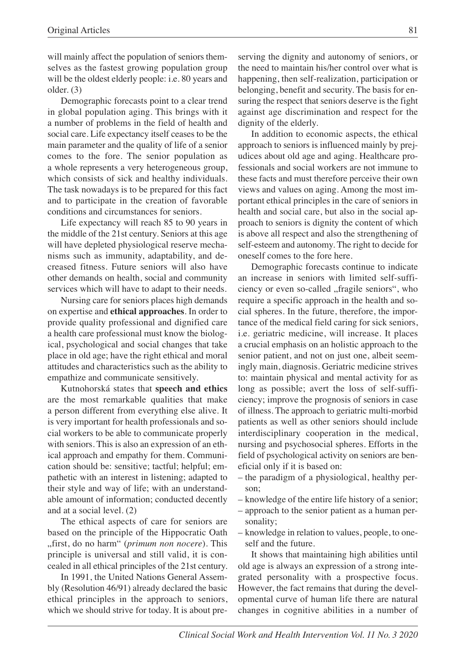will mainly affect the population of seniors themselves as the fastest growing population group will be the oldest elderly people: i.e. 80 years and older. (3)

Demographic forecasts point to a clear trend in global population aging. This brings with it a number of problems in the field of health and social care. Life expectancy itself ceases to be the main parameter and the quality of life of a senior comes to the fore. The senior population as a whole represents a very heterogeneous group, which consists of sick and healthy individuals. The task nowadays is to be prepared for this fact and to participate in the creation of favorable conditions and circumstances for seniors.

Life expectancy will reach 85 to 90 years in the middle of the 21st century. Seniors at this age will have depleted physiological reserve mechanisms such as immunity, adaptability, and decreased fitness. Future seniors will also have other demands on health, social and community services which will have to adapt to their needs.

Nursing care for seniors places high demands on expertise and **ethical approaches**. In order to provide quality professional and dignified care a health care professional must know the biological, psychological and social changes that take place in old age; have the right ethical and moral attitudes and characteristics such as the ability to empathize and communicate sensitively.

Kutnohorská states that **speech and ethics** are the most remarkable qualities that make a person different from everything else alive. It is very important for health professionals and social workers to be able to communicate properly with seniors. This is also an expression of an ethical approach and empathy for them. Communication should be: sensitive; tactful; helpful; empathetic with an interest in listening; adapted to their style and way of life; with an understandable amount of information; conducted decently and at a social level. (2)

The ethical aspects of care for seniors are based on the principle of the Hippocratic Oath "first, do no harm" (*primum non nocere*). This principle is universal and still valid, it is concealed in all ethical principles of the 21st century.

In 1991, the United Nations General Assembly (Resolution 46/91) already declared the basic ethical principles in the approach to seniors, which we should strive for today. It is about preserving the dignity and autonomy of seniors, or the need to maintain his/her control over what is happening, then self-realization, participation or belonging, benefit and security. The basis for ensuring the respect that seniors deserve is the fight against age discrimination and respect for the dignity of the elderly.

In addition to economic aspects, the ethical approach to seniors is influenced mainly by prejudices about old age and aging. Healthcare professionals and social workers are not immune to these facts and must therefore perceive their own views and values on aging. Among the most important ethical principles in the care of seniors in health and social care, but also in the social approach to seniors is dignity the content of which is above all respect and also the strengthening of self-esteem and autonomy. The right to decide for oneself comes to the fore here.

Demographic forecasts continue to indicate an increase in seniors with limited self-sufficiency or even so-called "fragile seniors", who require a specific approach in the health and social spheres. In the future, therefore, the importance of the medical field caring for sick seniors, i.e. geriatric medicine, will increase. It places a crucial emphasis on an holistic approach to the senior patient, and not on just one, albeit seemingly main, diagnosis. Geriatric medicine strives to: maintain physical and mental activity for as long as possible; avert the loss of self-sufficiency; improve the prognosis of seniors in case of illness. The approach to geriatric multi-morbid patients as well as other seniors should include interdisciplinary cooperation in the medical, nursing and psychosocial spheres. Efforts in the field of psychological activity on seniors are beneficial only if it is based on:

- the paradigm of a physiological, healthy person;
- knowledge of the entire life history of a senior;
- approach to the senior patient as a human personality;
- knowledge in relation to values, people, to oneself and the future.

It shows that maintaining high abilities until old age is always an expression of a strong integrated personality with a prospective focus. However, the fact remains that during the developmental curve of human life there are natural changes in cognitive abilities in a number of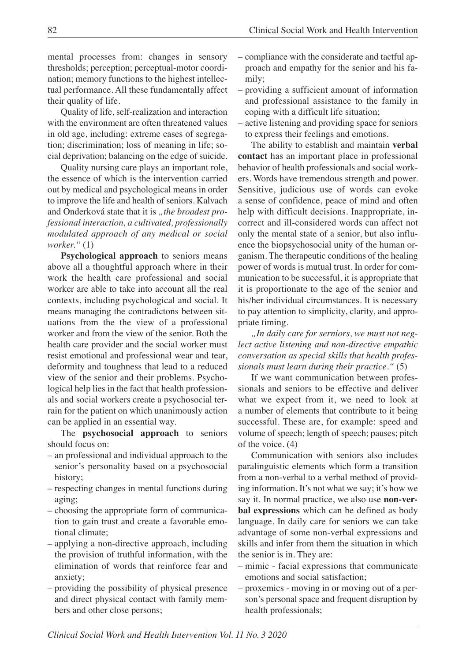mental processes from: changes in sensory thresholds; perception; perceptual-motor coordination; memory functions to the highest intellectual performance. All these fundamentally affect their quality of life.

Quality of life, self-realization and interaction with the environment are often threatened values in old age, including: extreme cases of segregation; discrimination; loss of meaning in life; social deprivation; balancing on the edge of suicide.

Quality nursing care plays an important role, the essence of which is the intervention carried out by medical and psychological means in order to improve the life and health of seniors. Kalvach and Onderková state that it is "the broadest pro*fessional interaction, a cultivated, professionally modulated approach of any medical or social worker."* (1)

**Psychological approach** to seniors means above all a thoughtful approach where in their work the health care professional and social worker are able to take into account all the real contexts, including psychological and social. It means managing the contradictons between situations from the the view of a professional worker and from the view of the senior. Both the health care provider and the social worker must resist emotional and professional wear and tear, deformity and toughness that lead to a reduced view of the senior and their problems. Psychological help lies in the fact that health professionals and social workers create a psychosocial terrain for the patient on which unanimously action can be applied in an essential way.

The **psychosocial approach** to seniors should focus on:

- an professional and individual approach to the senior's personality based on a psychosocial history;
- respecting changes in mental functions during aging;
- choosing the appropriate form of communication to gain trust and create a favorable emotional climate;
- applying a non-directive approach, including the provision of truthful information, with the elimination of words that reinforce fear and anxiety;
- providing the possibility of physical presence and direct physical contact with family members and other close persons;
- compliance with the considerate and tactful approach and empathy for the senior and his family;
- providing a sufficient amount of information and professional assistance to the family in coping with a difficult life situation;
- active listening and providing space for seniors to express their feelings and emotions.

The ability to establish and maintain **verbal contact** has an important place in professional behavior of health professionals and social workers. Words have tremendous strength and power. Sensitive, judicious use of words can evoke a sense of confidence, peace of mind and often help with difficult decisions. Inappropriate, incorrect and ill-considered words can affect not only the mental state of a senior, but also influence the biopsychosocial unity of the human organism. The therapeutic conditions of the healing power of words is mutual trust. In order for communication to be successful, it is appropriate that it is proportionate to the age of the senior and his/her individual circumstances. It is necessary to pay attention to simplicity, clarity, and appropriate timing.

*"In daily care for serniors, we must not neglect active listening and non-directive empathic conversation as special skills that health professionals must learn during their practice."* (5)

If we want communication between professionals and seniors to be effective and deliver what we expect from it, we need to look at a number of elements that contribute to it being successful. These are, for example: speed and volume of speech; length of speech; pauses; pitch of the voice. (4)

Communication with seniors also includes paralinguistic elements which form a transition from a non-verbal to a verbal method of providing information. It's not what we say; it's how we say it. In normal practice, we also use **non-verbal expressions** which can be defined as body language. In daily care for seniors we can take advantage of some non-verbal expressions and skills and infer from them the situation in which the senior is in. They are:

- mimic facial expressions that communicate emotions and social satisfaction;
- proxemics moving in or moving out of a person's personal space and frequent disruption by health professionals;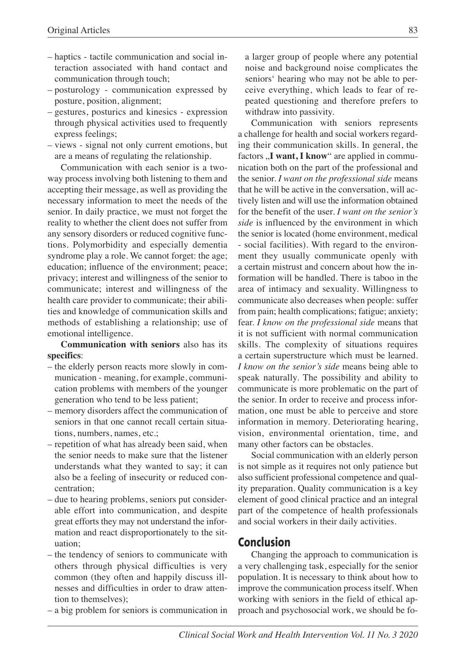- haptics tactile communication and social interaction associated with hand contact and communication through touch;
- posturology communication expressed by posture, position, alignment;
- gestures, posturics and kinesics expression through physical activities used to frequently express feelings;
- views signal not only current emotions, but are a means of regulating the relationship.

Communication with each senior is a twoway process involving both listening to them and accepting their message, as well as providing the necessary information to meet the needs of the senior. In daily practice, we must not forget the reality to whether the client does not suffer from any sensory disorders or reduced cognitive functions. Polymorbidity and especially dementia syndrome play a role. We cannot forget: the age; education; influence of the environment; peace; privacy; interest and willingness of the senior to communicate; interest and willingness of the health care provider to communicate; their abilities and knowledge of communication skills and methods of establishing a relationship; use of emotional intelligence.

**Communication with seniors** also has its **specifics**:

- the elderly person reacts more slowly in communication - meaning, for example, communication problems with members of the younger generation who tend to be less patient;
- memory disorders affect the communication of seniors in that one cannot recall certain situations, numbers, names, etc.;
- repetition of what has already been said, when the senior needs to make sure that the listener understands what they wanted to say; it can also be a feeling of insecurity or reduced concentration;
- due to hearing problems, seniors put considerable effort into communication, and despite great efforts they may not understand the information and react disproportionately to the situation;
- the tendency of seniors to communicate with others through physical difficulties is very common (they often and happily discuss illnesses and difficulties in order to draw attention to themselves);
- a big problem for seniors is communication in

a larger group of people where any potential noise and background noise complicates the seniors' hearing who may not be able to perceive everything, which leads to fear of repeated questioning and therefore prefers to withdraw into passivity.

Communication with seniors represents a challenge for health and social workers regarding their communication skills. In general, the factors .**I** want, **I** know" are applied in communication both on the part of the professional and the senior. *I want on the professional side* means that he will be active in the conversation, will actively listen and will use the information obtained for the benefit of the user. *I want on the senior's side* is influenced by the environment in which the senior is located (home environment, medical - social facilities). With regard to the environment they usually communicate openly with a certain mistrust and concern about how the information will be handled. There is taboo in the area of intimacy and sexuality. Willingness to communicate also decreases when people: suffer from pain; health complications; fatigue; anxiety; fear. *I know on the professional side* means that it is not sufficient with normal communication skills. The complexity of situations requires a certain superstructure which must be learned. *I know on the senior's side* means being able to speak naturally. The possibility and ability to communicate is more problematic on the part of the senior. In order to receive and process information, one must be able to perceive and store information in memory. Deteriorating hearing, vision, environmental orientation, time, and many other factors can be obstacles.

Social communication with an elderly person is not simple as it requires not only patience but also sufficient professional competence and quality preparation. Quality communication is a key element of good clinical practice and an integral part of the competence of health professionals and social workers in their daily activities.

## **Conclusion**

Changing the approach to communication is a very challenging task, especially for the senior population. It is necessary to think about how to improve the communication process itself. When working with seniors in the field of ethical approach and psychosocial work, we should be fo